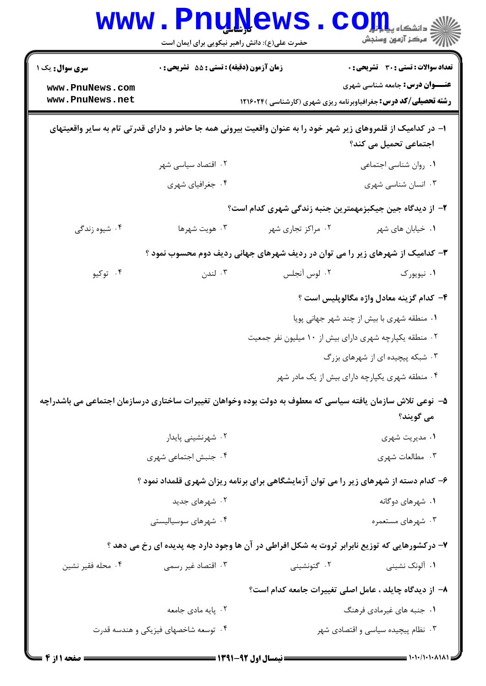|                                                                                                                                         | <b>WWW.PNUNEWS</b>                               | حضرت علی(ع): دانش راهبر نیکویی برای ایمان است | $\text{COLL}$ دانشکاه پیلی<br>رآ - مرڪز آزمون وسنڊش                                                                     |  |  |
|-----------------------------------------------------------------------------------------------------------------------------------------|--------------------------------------------------|-----------------------------------------------|-------------------------------------------------------------------------------------------------------------------------|--|--|
| <b>سری سوال :</b> یک ۱                                                                                                                  | <b>زمان آزمون (دقیقه) : تستی : 55 تشریحی : 0</b> |                                               | <b>تعداد سوالات : تستي : 30 ٪ تشريحي : 0</b>                                                                            |  |  |
| www.PnuNews.com<br>www.PnuNews.net                                                                                                      |                                                  |                                               | <b>عنـــوان درس:</b> جامعه شناسی شهری<br><b>رشته تحصیلی/کد درس:</b> جغرافیاوبرنامه ریزی شهری (کارشناسی )۱۲۱۶۰۲۴         |  |  |
| ا– در کدامیک از قلمروهای زیر شهر خود را به عنوان واقعیت بیرونی همه جا حاضر و دارای قدرتی تام به سایر واقعیتهای<br>اجتماعی تحمیل می کند؟ |                                                  |                                               |                                                                                                                         |  |  |
|                                                                                                                                         | ۰۲ اقتصاد سیاسی شهر                              |                                               | ٠١ روان شناسي اجتماعي                                                                                                   |  |  |
|                                                                                                                                         | ۰۴ جغرافیای شهری                                 |                                               | ۰۳ انسان شناسی شهری                                                                                                     |  |  |
|                                                                                                                                         |                                                  |                                               | ۲– از دیدگاه جین جیکبزمهمترین جنبه زندگی شهری کدام است؟                                                                 |  |  |
| ۰۴ شیوه زندگی                                                                                                                           | ۰۳ هويت شهرها                                    | ۰۲ مراکز تجاری شهر                            | ۰۱ خیابان های شهر                                                                                                       |  |  |
| ۳- کدامیک از شهرهای زیر را می توان در ردیف شهرهای جهانی ردیف دوم محسوب نمود ؟                                                           |                                                  |                                               |                                                                                                                         |  |  |
| ۰۴ توکيو                                                                                                                                | ۰۳ لندن                                          | ۰۲ لوس آنجلس                                  | ۰۱ نیویورک                                                                                                              |  |  |
|                                                                                                                                         |                                                  |                                               | ۴– کدام گزینه معادل واژه مگالوپلیس است ؟                                                                                |  |  |
|                                                                                                                                         |                                                  |                                               | ۰۱ منطقه شهری با بیش از چند شهر جهانی پویا                                                                              |  |  |
|                                                                                                                                         |                                                  |                                               | ۰۲ منطقه یکپارچه شهری دارای بیش از ۱۰ میلیون نفر جمعیت                                                                  |  |  |
|                                                                                                                                         |                                                  |                                               | ۰۳ شبکه پیچیده ای از شهرهای بزرگ                                                                                        |  |  |
|                                                                                                                                         |                                                  |                                               | ۰۴ منطقه شهری یکپارچه دارای بیش از یک مادر شهر                                                                          |  |  |
|                                                                                                                                         |                                                  |                                               | ۵– نوعی تلاش سازمان یافته سیاسی که معطوف به دولت بوده وخواهان تغییرات ساختاری درسازمان اجتماعی می باشدراچه<br>مي گويند؟ |  |  |
|                                                                                                                                         | ۰۲ شهرنشینی پایدار                               |                                               | ۰۱ مدیریت شهری                                                                                                          |  |  |
|                                                                                                                                         | ۰۴ جنبش اجتماعی شهری                             |                                               | ۰۳ مطالعات شهری                                                                                                         |  |  |
|                                                                                                                                         |                                                  |                                               | ۶– کدام دسته از شهرهای زیر را می توان آزمایشگاهی برای برنامه ریزان شهری قلمداد نمود ؟                                   |  |  |
|                                                                                                                                         | ۰۲ شهرهای جدید                                   |                                               | ۰۱ شهرهای دوگانه                                                                                                        |  |  |
|                                                                                                                                         | ۰۴ شهرهای سوسیالیستی                             |                                               | ۰۳ شهرهای مستعمره                                                                                                       |  |  |
|                                                                                                                                         |                                                  |                                               | ۷- درکشورهایی که توزیع نابرابر ثروت به شکل افراطی در آن ها وجود دارد چه پدیده ای رخ می دهد ؟                            |  |  |
| ۰۴ محله فقير نشين                                                                                                                       | ۰۳ اقتصاد غیر رسمی                               | ۰۲ گتونشینی                                   | ۰۱ آلونک نشینی                                                                                                          |  |  |
|                                                                                                                                         |                                                  |                                               | ٨− از دیدگاه چایلد ، عامل اصلی تغییرات جامعه کدام است؟                                                                  |  |  |
|                                                                                                                                         | ۰۲ پایه مادی جامعه                               |                                               | ۰۱ جنبه های غیرمادی فرهنگ                                                                                               |  |  |
|                                                                                                                                         | ۰۴ توسعه شاخصهای فیزیکی و هندسه قدرت             |                                               | ۰۳ نظام پیچیده سیاسی و اقتصادی شهر                                                                                      |  |  |
| <b>: صفحه ۱ از 4 =</b>                                                                                                                  |                                                  | ـــــــــــ نیمسال اول ۹۲-۱۳۹۱ ـــ            | = \+\+/\+\+ ^\\^\ =                                                                                                     |  |  |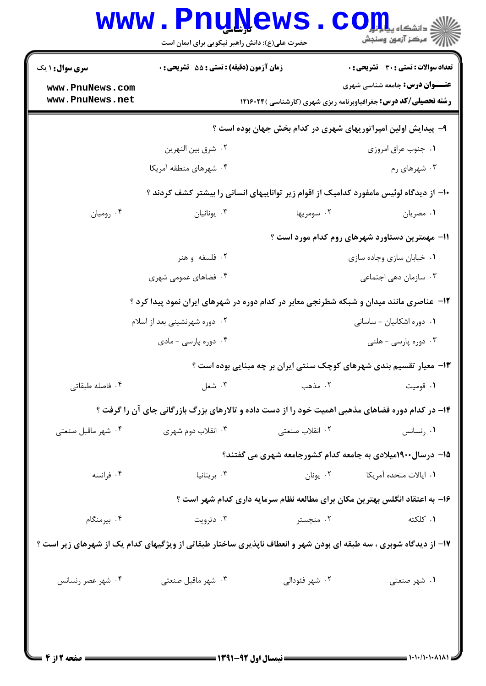|                                                               | حضرت علی(ع): دانش راهبر نیکویی برای ایمان است    |                                                | رآ مرڪز آزمون وسنڊش                                                                                              |  |  |
|---------------------------------------------------------------|--------------------------------------------------|------------------------------------------------|------------------------------------------------------------------------------------------------------------------|--|--|
| <b>سری سوال : ۱ یک</b>                                        | <b>زمان آزمون (دقیقه) : تستی : 55 تشریحی : 0</b> |                                                | تعداد سوالات : تستي : 30 ٪ تشريحي : 0                                                                            |  |  |
| www.PnuNews.com<br>www.PnuNews.net                            |                                                  |                                                | <b>عنـــوان درس:</b> جامعه شناسی شهری<br><b>رشته تحصیلی/کد درس:</b> جغرافیاوبرنامه ریزی شهری (کارشناسی )۱۲۱۶۰۲۴  |  |  |
| ۹- پیدایش اولین امپراتوریهای شهری در کدام بخش جهان بوده است ؟ |                                                  |                                                |                                                                                                                  |  |  |
|                                                               | ٠٢ شرق بين النهرين                               |                                                | ٠١. جنوب عراق امروزي                                                                                             |  |  |
|                                                               | ۰۴ شهرهای منطقه آمریکا                           |                                                | ۰۳ شهرهای رم                                                                                                     |  |  |
|                                                               |                                                  |                                                | +۱- از دیدگاه لوئیس مامفورد کدامیک از اقوام زیر تواناییهای انسانی را بیشتر کشف کردند ؟                           |  |  |
| ۰۴ روميان                                                     | ۰۳ يونانيان                                      | ۰۲ سومريها                                     | ۰۱ مصريان                                                                                                        |  |  |
|                                                               |                                                  | 11– مهمترین دستاورد شهرهای روم کدام مورد است ؟ |                                                                                                                  |  |  |
|                                                               | ۰۲ فلسفه و هنر                                   |                                                | ٠١ خيابان سازي وجاده سازي                                                                                        |  |  |
|                                                               | ۰۴ فضاهای عمومی شهری                             |                                                | ۰۳ سازمان دهی اجتماعی                                                                                            |  |  |
|                                                               |                                                  |                                                | ۱۲- عناصری مانند میدان و شبکه شطرنجی معابر در کدام دوره در شهرهای ایران نمود پیدا کرد ؟                          |  |  |
| ۰۲ دوره شهرنشینی بعد از اسلام                                 |                                                  |                                                | ٠١ دوره اشكانيان - ساساني                                                                                        |  |  |
|                                                               | ۰۴ دوره پارسی - مادی                             |                                                | ۰۳ دوره پارسی - هلنی                                                                                             |  |  |
|                                                               |                                                  |                                                | ۱۳- معیار تقسیم بندی شهرهای کوچک سنتی ایران بر چه مبنایی بوده است ؟                                              |  |  |
| ۰۴ فاصله طبقاتی                                               | ۰۳ شغل                                           | ٢. مذهب                                        | ٠١ قوميت                                                                                                         |  |  |
|                                                               |                                                  |                                                | ۱۴- در کدام دوره فضاهای مذهبی اهمیت خود را از دست داده و تالارهای بزرگ بازرگانی جای آن را گرفت ؟                 |  |  |
| ۰۴ شهر ماقبل صنعتی                                            | ۰۳ انقلاب دوم شهری                               | ۰۲ انقلاب صنعت <u>ی</u>                        | ۰۱ رنسانس                                                                                                        |  |  |
|                                                               |                                                  |                                                | ۱۵– درسال۱۹۰۰میلادی به جامعه کدام کشورجامعه شهری می گفتند؟                                                       |  |  |
| ۰۴ فرانسه                                                     | ۰۳ بریتانیا                                      | ۰۲ يونان                                       | ٠١. ايالات متحده آمريكا                                                                                          |  |  |
|                                                               |                                                  |                                                | ۱۶– به اعتقاد انگلس بهترین مکان برای مطالعه نظام سرمایه داری کدام شهر است ؟                                      |  |  |
| ۰۴ بیرمنگام                                                   | ۰۳ دترویت                                        | ۰۲ منچستر                                      | ۰۱ کلکته                                                                                                         |  |  |
|                                                               |                                                  |                                                | ۱۷- از دیدگاه شوبری ، سه طبقه ای بودن شهر و انعطاف ناپذیری ساختار طبقاتی از ویژگیهای کدام یک از شهرهای زیر است ؟ |  |  |
| ۰۴ شهر عصر رنسانس                                             | ۰۳ شهر ماقبل صنعتی                               | ۰۲ شهر فئودالي                                 | ۰۱ شهر صنعتی                                                                                                     |  |  |
|                                                               |                                                  |                                                |                                                                                                                  |  |  |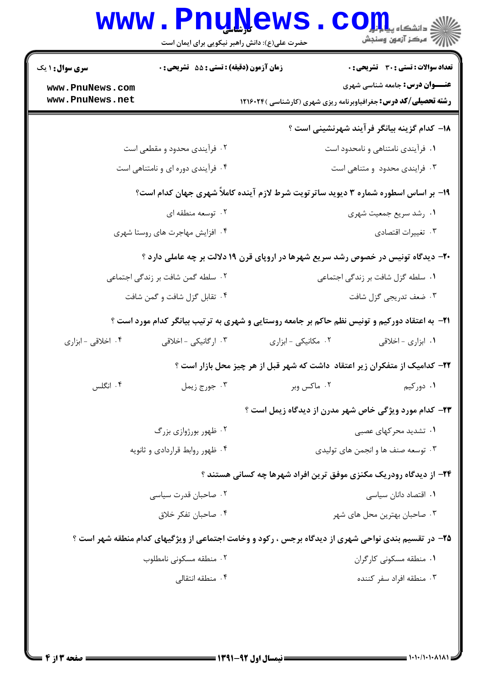|                                                                                                     | <b>www.PnuNews</b>                               | حضرت علی(ع): دانش راهبر نیکویی برای ایمان است                                                         | د<br>د دانشکاه پی <mark>ای</mark><br>رآ مرڪز آزمون وسنڊش                              |  |  |
|-----------------------------------------------------------------------------------------------------|--------------------------------------------------|-------------------------------------------------------------------------------------------------------|---------------------------------------------------------------------------------------|--|--|
| <b>سری سوال : ۱ یک</b><br>www.PnuNews.com<br>www.PnuNews.net                                        | <b>زمان آزمون (دقیقه) : تستی : 55 تشریحی : 0</b> | <b>رشته تحصیلی/کد درس:</b> جغرافیاوبرنامه ریزی شهری (کارشناسی ) ۱۲۱۶۰۲۴                               | <b>تعداد سوالات : تستی : 30 ٪ تشریحی : 0</b><br><b>عنـــوان درس:</b> جامعه شناسی شهری |  |  |
|                                                                                                     |                                                  |                                                                                                       | 18– كدام گزينه بيانگر فرآيند شهرنشيني است ؟                                           |  |  |
| ۲. فرأیندی محدود و مقطعی است                                                                        |                                                  |                                                                                                       | ۰۱ فرآیندی نامتناهی و نامحدود است                                                     |  |  |
| ۰۴ فرآیندی دوره ای و نامتناهی است                                                                   |                                                  |                                                                                                       | ۰۳ فرایندی محدود و متناهی است                                                         |  |  |
| ۱۹- بر اساس اسطوره شماره ۳ دیوید ساترتویت شرط لازم آینده کاملاً شهری جهان کدام است؟                 |                                                  |                                                                                                       |                                                                                       |  |  |
| ۰۲ توسعه منطقه ای                                                                                   |                                                  |                                                                                                       | ۰۱ رشد سریع جمعیت شهری                                                                |  |  |
| ۰۴ افزایش مهاجرت های روستا شهری                                                                     |                                                  |                                                                                                       | ۰۳ تغييرات اقتصادي                                                                    |  |  |
| ۲۰- دیدگاه تونیس در خصوص رشد سریع شهرها در اروپای قرن ۱۹ دلالت بر چه عاملی دارد ؟                   |                                                  |                                                                                                       |                                                                                       |  |  |
|                                                                                                     | ۰۲ سلطه گمن شافت بر زندگی اجتماعی                |                                                                                                       | ۰۱ سلطه گزل شافت بر زندگی اجتماعی                                                     |  |  |
|                                                                                                     | ۰۴ تقابل گزل شافت و گمن شافت                     | ۰۳ ضعف تدريجي گزل شافت                                                                                |                                                                                       |  |  |
|                                                                                                     |                                                  | <b>۲۱</b> - به اعتقاد دورکیم و تونیس نظم حاکم بر جامعه روستایی و شهری به ترتیب بیانگر کدام مورد است ؟ |                                                                                       |  |  |
| ۰۴ اخلاقی - ابزاری                                                                                  | ۰۳ ارگانیکی - اخلاقی                             | ۰۲ مکانیکی - ابزاری                                                                                   | ۰۱ ابزاری - اخلاقی                                                                    |  |  |
|                                                                                                     |                                                  | ۲۲– کدامیک از متفکران زیر اعتقاد ًداشت که شهر قبل از هر چیز محل بازار است ؟                           |                                                                                       |  |  |
| ۰۴ انگلس                                                                                            | ۰۳ جورج زيمل                                     | ۰۲ ماکس وبر                                                                                           | ۰۱ دورکیم                                                                             |  |  |
|                                                                                                     |                                                  | <b>۲۳</b> - کدام مورد ویژگی خاص شهر مدرن از دیدگاه زیمل است ؟                                         |                                                                                       |  |  |
|                                                                                                     | ۰۲ ظهور بورژوازی بزرگ                            |                                                                                                       | ۰۱ تشدید محر کهای عصبی                                                                |  |  |
|                                                                                                     | ۰۴ ظهور روابط قراردادی و ثانویه                  |                                                                                                       | ۰۳ توسعه صنف ها و انجمن های تولیدی                                                    |  |  |
|                                                                                                     |                                                  | <b>۲۴</b> - از دیدگاه رودریک مکنزی موفق ترین افراد شهرها چه کسانی هستند ؟                             |                                                                                       |  |  |
| ۰۲ صاحبان قدرت سیاسی                                                                                |                                                  | ۰۱ اقتصاد دانان سیاسی                                                                                 |                                                                                       |  |  |
| ۰۴ صاحبان تفكر خلاق                                                                                 |                                                  |                                                                                                       | ۰۳ صاحبان بهترين محل هاي شهر                                                          |  |  |
| ۲۵- در تقسیم بندی نواحی شهری از دیدگاه برجس ، رکود و وخامت اجتماعی از ویژگیهای کدام منطقه شهر است ؟ |                                                  |                                                                                                       |                                                                                       |  |  |
|                                                                                                     | ٠٢ منطقه مسكوني نامطلوب                          |                                                                                                       | ۰۱ منطقه مسکونی کارگران                                                               |  |  |
| ۰۴ منطقه انتقالی                                                                                    |                                                  |                                                                                                       | ۰۳ منطقه افراد سفر کننده                                                              |  |  |
|                                                                                                     |                                                  |                                                                                                       |                                                                                       |  |  |